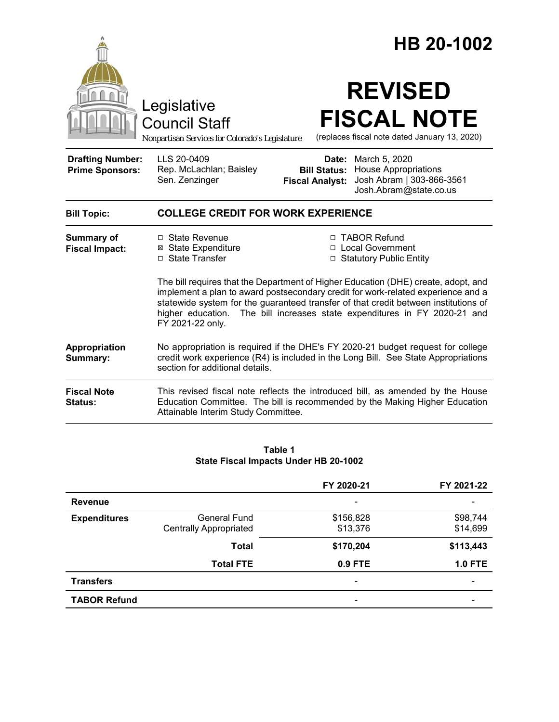|                                                   |                                                                                                                                                                                                                                                                                                                                                                | HB 20-1002                                             |                                                                                                     |  |
|---------------------------------------------------|----------------------------------------------------------------------------------------------------------------------------------------------------------------------------------------------------------------------------------------------------------------------------------------------------------------------------------------------------------------|--------------------------------------------------------|-----------------------------------------------------------------------------------------------------|--|
|                                                   | Legislative<br><b>Council Staff</b><br>Nonpartisan Services for Colorado's Legislature                                                                                                                                                                                                                                                                         |                                                        | <b>REVISED</b><br><b>FISCAL NOTE</b><br>(replaces fiscal note dated January 13, 2020)               |  |
| <b>Drafting Number:</b><br><b>Prime Sponsors:</b> | LLS 20-0409<br>Rep. McLachlan; Baisley<br>Sen. Zenzinger                                                                                                                                                                                                                                                                                                       | Date:<br><b>Bill Status:</b><br><b>Fiscal Analyst:</b> | March 5, 2020<br><b>House Appropriations</b><br>Josh Abram   303-866-3561<br>Josh.Abram@state.co.us |  |
| <b>Bill Topic:</b>                                | <b>COLLEGE CREDIT FOR WORK EXPERIENCE</b>                                                                                                                                                                                                                                                                                                                      |                                                        |                                                                                                     |  |
| <b>Summary of</b><br><b>Fiscal Impact:</b>        | □ State Revenue<br><b>⊠</b> State Expenditure<br>□ State Transfer                                                                                                                                                                                                                                                                                              |                                                        | □ TABOR Refund<br>□ Local Government<br>□ Statutory Public Entity                                   |  |
|                                                   | The bill requires that the Department of Higher Education (DHE) create, adopt, and<br>implement a plan to award postsecondary credit for work-related experience and a<br>statewide system for the guaranteed transfer of that credit between institutions of<br>higher education. The bill increases state expenditures in FY 2020-21 and<br>FY 2021-22 only. |                                                        |                                                                                                     |  |
| Appropriation<br>Summary:                         | No appropriation is required if the DHE's FY 2020-21 budget request for college<br>credit work experience (R4) is included in the Long Bill. See State Appropriations<br>section for additional details.                                                                                                                                                       |                                                        |                                                                                                     |  |
| <b>Fiscal Note</b><br>Status:                     | This revised fiscal note reflects the introduced bill, as amended by the House<br>Education Committee. The bill is recommended by the Making Higher Education<br>Attainable Interim Study Committee.                                                                                                                                                           |                                                        |                                                                                                     |  |

#### **Table 1 State Fiscal Impacts Under HB 20-1002**

|                     |                               | FY 2020-21               | FY 2021-22                   |
|---------------------|-------------------------------|--------------------------|------------------------------|
| <b>Revenue</b>      |                               | $\overline{\phantom{a}}$ |                              |
| <b>Expenditures</b> | <b>General Fund</b>           | \$156,828                | \$98,744                     |
|                     | <b>Centrally Appropriated</b> | \$13,376                 | \$14,699                     |
|                     | <b>Total</b>                  | \$170,204                | \$113,443                    |
|                     | <b>Total FTE</b>              | 0.9 FTE                  | <b>1.0 FTE</b>               |
| <b>Transfers</b>    |                               | $\overline{\phantom{a}}$ | $\qquad \qquad \blacksquare$ |
| <b>TABOR Refund</b> |                               | -                        |                              |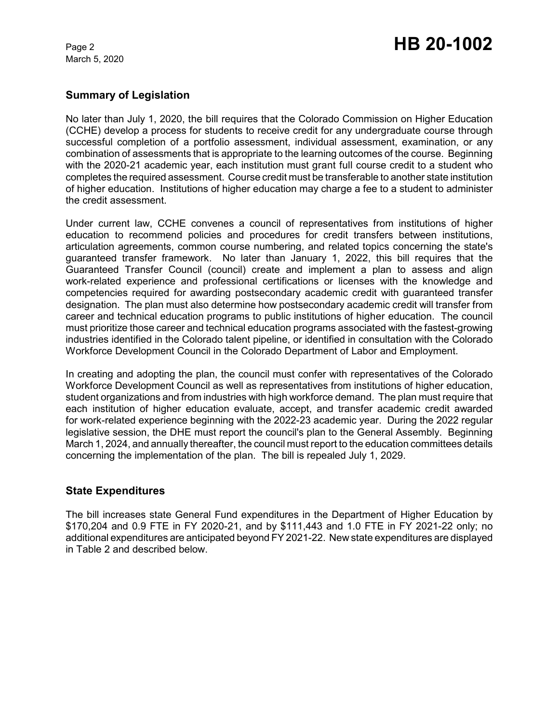March 5, 2020

# Page 2 **HB 20-1002**

### **Summary of Legislation**

No later than July 1, 2020, the bill requires that the Colorado Commission on Higher Education (CCHE) develop a process for students to receive credit for any undergraduate course through successful completion of a portfolio assessment, individual assessment, examination, or any combination of assessments that is appropriate to the learning outcomes of the course. Beginning with the 2020-21 academic year, each institution must grant full course credit to a student who completes the required assessment. Course credit must be transferable to another state institution of higher education. Institutions of higher education may charge a fee to a student to administer the credit assessment.

Under current law, CCHE convenes a council of representatives from institutions of higher education to recommend policies and procedures for credit transfers between institutions, articulation agreements, common course numbering, and related topics concerning the state's guaranteed transfer framework. No later than January 1, 2022, this bill requires that the Guaranteed Transfer Council (council) create and implement a plan to assess and align work-related experience and professional certifications or licenses with the knowledge and competencies required for awarding postsecondary academic credit with guaranteed transfer designation. The plan must also determine how postsecondary academic credit will transfer from career and technical education programs to public institutions of higher education. The council must prioritize those career and technical education programs associated with the fastest-growing industries identified in the Colorado talent pipeline, or identified in consultation with the Colorado Workforce Development Council in the Colorado Department of Labor and Employment.

In creating and adopting the plan, the council must confer with representatives of the Colorado Workforce Development Council as well as representatives from institutions of higher education, student organizations and from industries with high workforce demand. The plan must require that each institution of higher education evaluate, accept, and transfer academic credit awarded for work-related experience beginning with the 2022-23 academic year. During the 2022 regular legislative session, the DHE must report the council's plan to the General Assembly. Beginning March 1, 2024, and annually thereafter, the council must report to the education committees details concerning the implementation of the plan. The bill is repealed July 1, 2029.

### **State Expenditures**

The bill increases state General Fund expenditures in the Department of Higher Education by \$170,204 and 0.9 FTE in FY 2020-21, and by \$111,443 and 1.0 FTE in FY 2021-22 only; no additional expenditures are anticipated beyond FY 2021-22. New state expenditures are displayed in Table 2 and described below.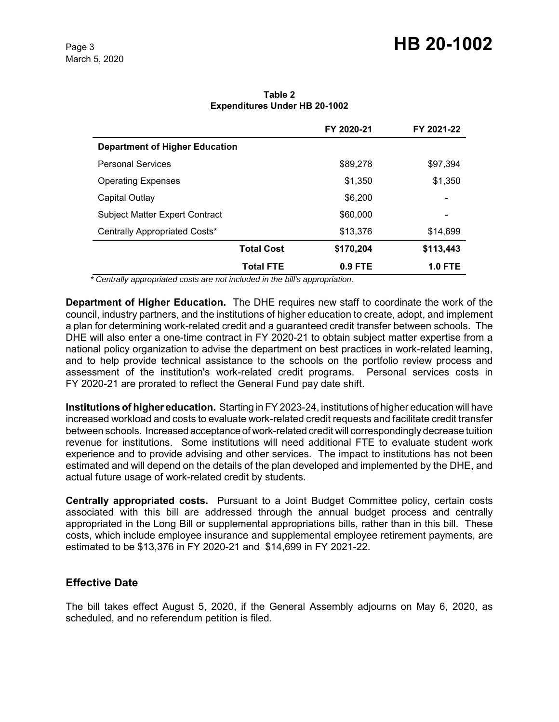## Page 3 **HB 20-1002**

|                                       | FY 2020-21 | FY 2021-22 |
|---------------------------------------|------------|------------|
| <b>Department of Higher Education</b> |            |            |
| <b>Personal Services</b>              | \$89,278   | \$97,394   |
| <b>Operating Expenses</b>             | \$1,350    | \$1,350    |
| Capital Outlay                        | \$6,200    |            |
| <b>Subject Matter Expert Contract</b> | \$60,000   |            |
| Centrally Appropriated Costs*         | \$13.376   | \$14,699   |
| <b>Total Cost</b>                     | \$170,204  | \$113,443  |
| <b>Total FTE</b>                      | $0.9$ FTE  | 1.0 FTE    |

**Table 2 Expenditures Under HB 20-1002**

 *\* Centrally appropriated costs are not included in the bill's appropriation.*

**Department of Higher Education.** The DHE requires new staff to coordinate the work of the council, industry partners, and the institutions of higher education to create, adopt, and implement a plan for determining work-related credit and a guaranteed credit transfer between schools. The DHE will also enter a one-time contract in FY 2020-21 to obtain subject matter expertise from a national policy organization to advise the department on best practices in work-related learning, and to help provide technical assistance to the schools on the portfolio review process and assessment of the institution's work-related credit programs. Personal services costs in FY 2020-21 are prorated to reflect the General Fund pay date shift.

**Institutions of higher education.** Starting in FY 2023-24, institutions of higher education will have increased workload and costs to evaluate work-related credit requests and facilitate credit transfer between schools. Increased acceptance of work-related credit will correspondingly decrease tuition revenue for institutions. Some institutions will need additional FTE to evaluate student work experience and to provide advising and other services. The impact to institutions has not been estimated and will depend on the details of the plan developed and implemented by the DHE, and actual future usage of work-related credit by students.

**Centrally appropriated costs.** Pursuant to a Joint Budget Committee policy, certain costs associated with this bill are addressed through the annual budget process and centrally appropriated in the Long Bill or supplemental appropriations bills, rather than in this bill. These costs, which include employee insurance and supplemental employee retirement payments, are estimated to be \$13,376 in FY 2020-21 and \$14,699 in FY 2021-22.

### **Effective Date**

The bill takes effect August 5, 2020, if the General Assembly adjourns on May 6, 2020, as scheduled, and no referendum petition is filed.